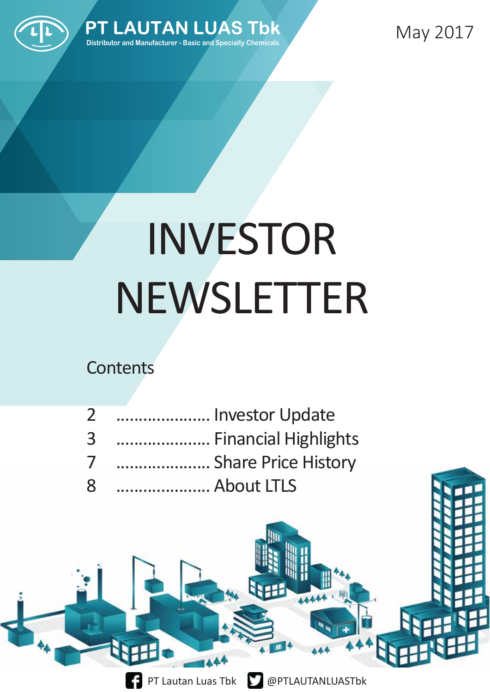



May 2017

# INVESTOR NEWSLETTER

### **Contents**

| $\mathbf{2}$ | Investor Update      |
|--------------|----------------------|
| 3            | Financial Highlights |
| 7            | Share Price History  |
| 8            | About LTLS           |

中



PT Lautan Luas Tbk **@PTLAUTANLUASTbk**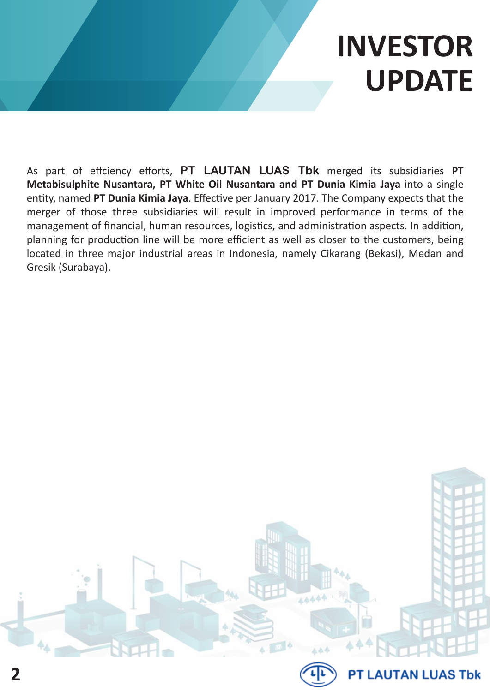## **INVESTOR UPDATE**

As part of effciency efforts, **PT LAUTAN LUAS Tbk** merged its subsidiaries **PT Metabisulphite Nusantara, PT White Oil Nusantara and PT Dunia Kimia Jaya** into a single entity, named **PT Dunia Kimia Jaya**. Effective per January 2017. The Company expects that the merger of those three subsidiaries will result in improved performance in terms of the management of financial, human resources, logistics, and administration aspects. In addition, planning for production line will be more efficient as well as closer to the customers, being located in three major industrial areas in Indonesia, namely Cikarang (Bekasi), Medan and Gresik (Surabaya).



**2**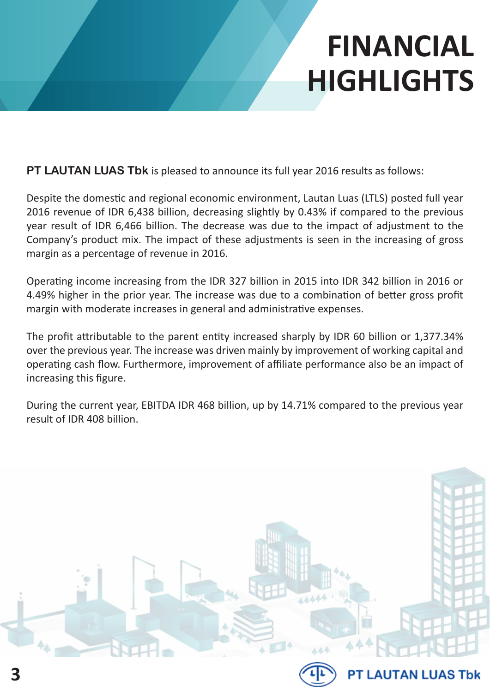**PT LAUTAN LUAS Tbk** is pleased to announce its full year 2016 results as follows:

Despite the domestic and regional economic environment, Lautan Luas (LTLS) posted full year 2016 revenue of IDR 6,438 billion, decreasing slightly by 0.43% if compared to the previous year result of IDR 6,466 billion. The decrease was due to the impact of adjustment to the Company's product mix. The impact of these adjustments is seen in the increasing of gross margin as a percentage of revenue in 2016.

Operating income increasing from the IDR 327 billion in 2015 into IDR 342 billion in 2016 or 4.49% higher in the prior year. The increase was due to a combination of better gross profit margin with moderate increases in general and administrative expenses.

The profit attributable to the parent entity increased sharply by IDR 60 billion or 1,377.34% over the previous year. The increase was driven mainly by improvement of working capital and operating cash flow. Furthermore, improvement of affiliate performance also be an impact of increasing this figure.

During the current year, EBITDA IDR 468 billion, up by 14.71% compared to the previous year result of IDR 408 billion.

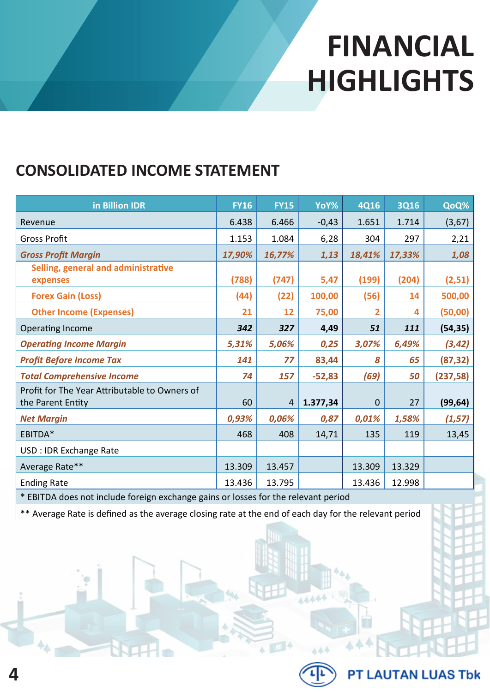#### **CONSOLIDATED INCOME STATEMENT**

| in Billion IDR                                                     | <b>FY16</b> | <b>FY15</b>    | YoY%     | <b>4Q16</b> | <b>3Q16</b> | QoQ%      |
|--------------------------------------------------------------------|-------------|----------------|----------|-------------|-------------|-----------|
| Revenue                                                            | 6.438       | 6.466          | $-0,43$  | 1.651       | 1.714       | (3,67)    |
| <b>Gross Profit</b>                                                | 1.153       | 1.084          | 6,28     | 304         | 297         | 2,21      |
| <b>Gross Profit Margin</b>                                         | 17,90%      | 16,77%         | 1,13     | 18,41%      | 17,33%      | 1,08      |
| Selling, general and administrative<br>expenses                    | (788)       | (747)          | 5,47     | (199)       | (204)       | (2,51)    |
| <b>Forex Gain (Loss)</b>                                           | (44)        | (22)           | 100,00   | (56)        | 14          | 500,00    |
| <b>Other Income (Expenses)</b>                                     | 21          | 12             | 75,00    | 2           | 4           | (50,00)   |
| Operating Income                                                   | 342         | 327            | 4,49     | 51          | 111         | (54, 35)  |
| <b>Operating Income Margin</b>                                     | 5,31%       | 5,06%          | 0,25     | 3,07%       | 6,49%       | (3, 42)   |
| <b>Profit Before Income Tax</b>                                    | 141         | 77             | 83,44    | 8           | 65          | (87, 32)  |
| <b>Total Comprehensive Income</b>                                  | 74          | 157            | $-52,83$ | (69)        | 50          | (237, 58) |
| Profit for The Year Attributable to Owners of<br>the Parent Entity | 60          | $\overline{4}$ | 1.377,34 | $\Omega$    | 27          | (99, 64)  |
| <b>Net Margin</b>                                                  | 0,93%       | 0,06%          | 0,87     | 0,01%       | 1,58%       | (1, 57)   |
| EBITDA*                                                            | 468         | 408            | 14,71    | 135         | 119         | 13,45     |
| USD : IDR Exchange Rate                                            |             |                |          |             |             |           |
| Average Rate**                                                     | 13.309      | 13.457         |          | 13.309      | 13.329      |           |
| <b>Ending Rate</b>                                                 | 13.436      | 13.795         |          | 13.436      | 12.998      |           |

\* EBITDA does not include foreign exchange gains or losses for the relevant period

**4**

\*\* Average Rate is defined as the average closing rate at the end of each day for the relevant period



A A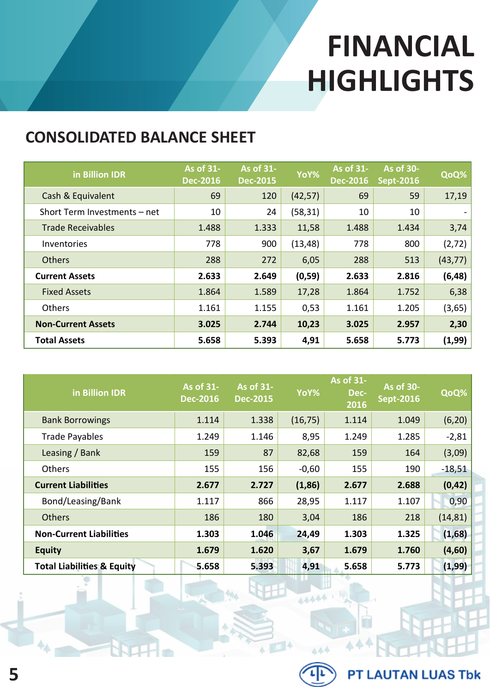#### **CONSOLIDATED BALANCE SHEET**

| in Billion IDR               | As of 31-<br><b>Dec-2016</b> | As of 31-<br><b>Dec-2015</b> | YoY%     | As of 31-<br><b>Dec-2016</b> | As of 30-<br><b>Sept-2016</b> | QoQ%     |
|------------------------------|------------------------------|------------------------------|----------|------------------------------|-------------------------------|----------|
| Cash & Equivalent            | 69                           | 120                          | (42, 57) | 69                           | 59                            | 17,19    |
| Short Term Investments - net | 10                           | 24                           | (58, 31) | 10                           | 10                            |          |
| <b>Trade Receivables</b>     | 1.488                        | 1.333                        | 11,58    | 1.488                        | 1.434                         | 3,74     |
| Inventories                  | 778                          | 900                          | (13, 48) | 778                          | 800                           | (2, 72)  |
| <b>Others</b>                | 288                          | 272                          | 6,05     | 288                          | 513                           | (43, 77) |
| <b>Current Assets</b>        | 2.633                        | 2.649                        | (0, 59)  | 2.633                        | 2.816                         | (6, 48)  |
| <b>Fixed Assets</b>          | 1.864                        | 1.589                        | 17,28    | 1.864                        | 1.752                         | 6,38     |
| Others                       | 1.161                        | 1.155                        | 0,53     | 1.161                        | 1.205                         | (3,65)   |
| <b>Non-Current Assets</b>    | 3.025                        | 2.744                        | 10,23    | 3.025                        | 2.957                         | 2,30     |
| <b>Total Assets</b>          | 5.658                        | 5.393                        | 4,91     | 5.658                        | 5.773                         | (1,99)   |

| in Billion IDR                        | As of 31-<br><b>Dec-2016</b> | As of 31-<br><b>Dec-2015</b> | YoY%     | As of 31-<br>Dec-<br>2016 | <b>As of 30-</b><br><b>Sept-2016</b> | QoQ%     |
|---------------------------------------|------------------------------|------------------------------|----------|---------------------------|--------------------------------------|----------|
| <b>Bank Borrowings</b>                | 1.114                        | 1.338                        | (16, 75) | 1.114                     | 1.049                                | (6, 20)  |
| <b>Trade Payables</b>                 | 1.249                        | 1.146                        | 8,95     | 1.249                     | 1.285                                | $-2,81$  |
| Leasing / Bank                        | 159                          | 87                           | 82,68    | 159                       | 164                                  | (3,09)   |
| <b>Others</b>                         | 155                          | 156                          | $-0,60$  | 155                       | 190                                  | $-18,51$ |
| <b>Current Liabilities</b>            | 2.677                        | 2.727                        | (1, 86)  | 2.677                     | 2.688                                | (0, 42)  |
| Bond/Leasing/Bank                     | 1.117                        | 866                          | 28,95    | 1.117                     | 1.107                                | 0,90     |
| <b>Others</b>                         | 186                          | 180                          | 3,04     | 186                       | 218                                  | (14, 81) |
| <b>Non-Current Liabilities</b>        | 1.303                        | 1.046                        | 24,49    | 1.303                     | 1.325                                | (1,68)   |
| <b>Equity</b>                         | 1.679                        | 1.620                        | 3,67     | 1.679                     | 1.760                                | (4,60)   |
| <b>Total Liabilities &amp; Equity</b> | 5.658                        | 5.393                        | 4,91     | 5.658                     | 5.773                                | (1, 99)  |

Ä,



 $AA$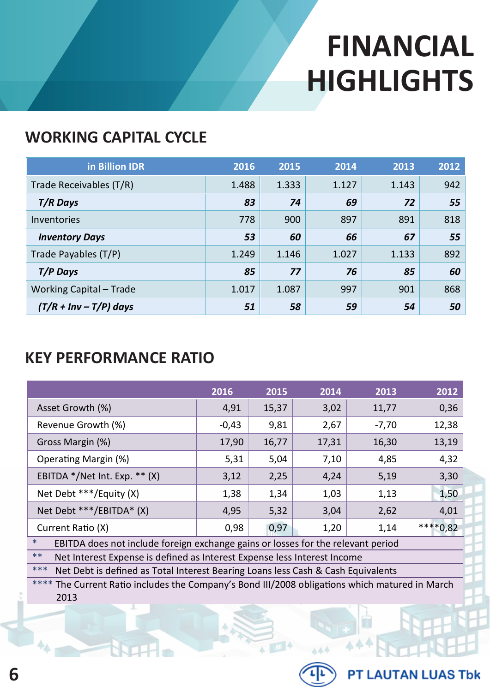#### **WORKING CAPITAL CYCLE**

| in Billion IDR                 | 2016  | 2015  | 2014  | 2013  | 2012 |
|--------------------------------|-------|-------|-------|-------|------|
| Trade Receivables (T/R)        | 1.488 | 1.333 | 1.127 | 1.143 | 942  |
| T/R Days                       | 83    | 74    | 69    | 72    | 55   |
| Inventories                    | 778   | 900   | 897   | 891   | 818  |
| <b>Inventory Days</b>          | 53    | 60    | 66    | 67    | 55   |
| Trade Payables (T/P)           | 1.249 | 1.146 | 1.027 | 1.133 | 892  |
| T/P Days                       | 85    | 77    | 76    | 85    | 60   |
| <b>Working Capital - Trade</b> | 1.017 | 1.087 | 997   | 901   | 868  |
| $(T/R + Inv - T/P)$ days       | 51    | 58    | 59    | 54    | 50   |

#### **KEY PERFORMANCE RATIO**

|                                                                                            | 2016    | 2015  | 2014  | 2013    | 2012  |  |
|--------------------------------------------------------------------------------------------|---------|-------|-------|---------|-------|--|
| Asset Growth (%)                                                                           | 4,91    | 15,37 | 3,02  | 11,77   | 0,36  |  |
| Revenue Growth (%)                                                                         | $-0,43$ | 9,81  | 2,67  | $-7,70$ | 12,38 |  |
| Gross Margin (%)                                                                           | 17,90   | 16,77 | 17,31 | 16,30   | 13,19 |  |
| Operating Margin (%)                                                                       | 5,31    | 5,04  | 7,10  | 4,85    | 4,32  |  |
| EBITDA */Net Int. Exp. ** (X)                                                              | 3,12    | 2,25  | 4,24  | 5,19    | 3,30  |  |
| Net Debt ***/Equity (X)                                                                    | 1,38    | 1,34  | 1,03  | 1,13    | 1,50  |  |
| Net Debt ***/EBITDA* (X)                                                                   | 4,95    | 5,32  | 3,04  | 2,62    | 4,01  |  |
| ****0,82<br>0,97<br>Current Ratio (X)<br>0,98<br>1,20<br>1,14                              |         |       |       |         |       |  |
| $\ast$<br>EBITDA does not include foreign exchange gains or losses for the relevant period |         |       |       |         |       |  |
| $***$<br>Net Interest Expense is defined as Interest Expense less Interest Income          |         |       |       |         |       |  |
| ***<br>Net Debt is defined as Total Interest Bearing Loans less Cash & Cash Equivalents    |         |       |       |         |       |  |

\*\*\*\* The Current Ratio includes the Company's Bond III/2008 obligations which matured in March 2013

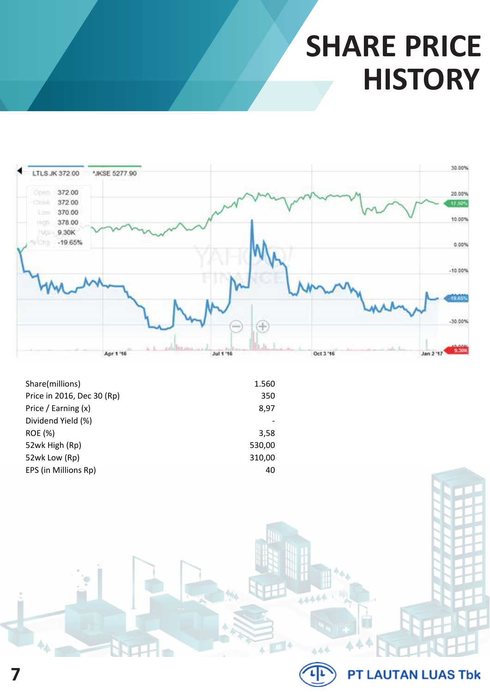### **SHARE PRICE HISTORY**



| Share(millions)            | 1.560  |
|----------------------------|--------|
| Price in 2016, Dec 30 (Rp) | 350    |
| Price / Earning (x)        | 8,97   |
| Dividend Yield (%)         |        |
| <b>ROE</b> (%)             | 3,58   |
| 52wk High (Rp)             | 530,00 |
| 52wk Low (Rp)              | 310,00 |
| EPS (in Millions Rp)       | 40     |



 $444$ 

 $\triangle$ 

 $4.104$ 

#### **PT LAUTAN LUAS Tbk**

44